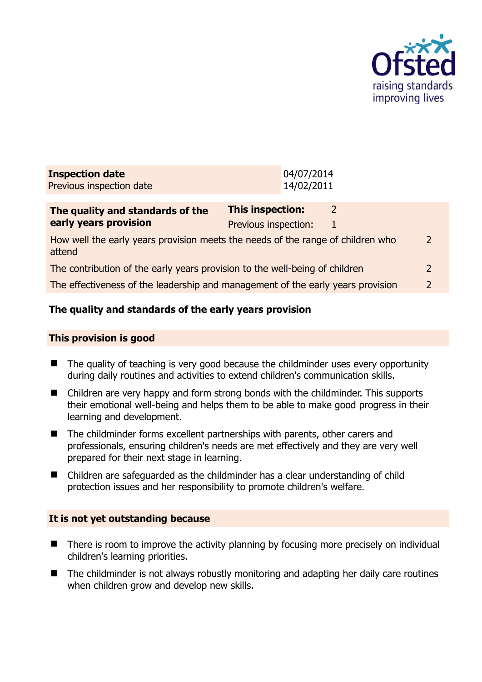

| <b>Inspection date</b><br>Previous inspection date                                        |                                                 | 04/07/2014<br>14/02/2011 |   |                |
|-------------------------------------------------------------------------------------------|-------------------------------------------------|--------------------------|---|----------------|
| The quality and standards of the<br>early years provision                                 | <b>This inspection:</b><br>Previous inspection: |                          | 2 |                |
| How well the early years provision meets the needs of the range of children who<br>attend |                                                 |                          |   | $\overline{2}$ |
| The contribution of the early years provision to the well-being of children               |                                                 |                          |   | $\mathcal{L}$  |
| The effectiveness of the leadership and management of the early years provision           |                                                 |                          |   | 2              |
|                                                                                           |                                                 |                          |   |                |

# **The quality and standards of the early years provision**

#### **This provision is good**

- The quality of teaching is very good because the childminder uses every opportunity during daily routines and activities to extend children's communication skills.
- Children are very happy and form strong bonds with the childminder. This supports their emotional well-being and helps them to be able to make good progress in their learning and development.
- The childminder forms excellent partnerships with parents, other carers and professionals, ensuring children's needs are met effectively and they are very well prepared for their next stage in learning.
- Children are safeguarded as the childminder has a clear understanding of child protection issues and her responsibility to promote children's welfare.

#### **It is not yet outstanding because**

- $\blacksquare$  There is room to improve the activity planning by focusing more precisely on individual children's learning priorities.
- The childminder is not always robustly monitoring and adapting her daily care routines when children grow and develop new skills.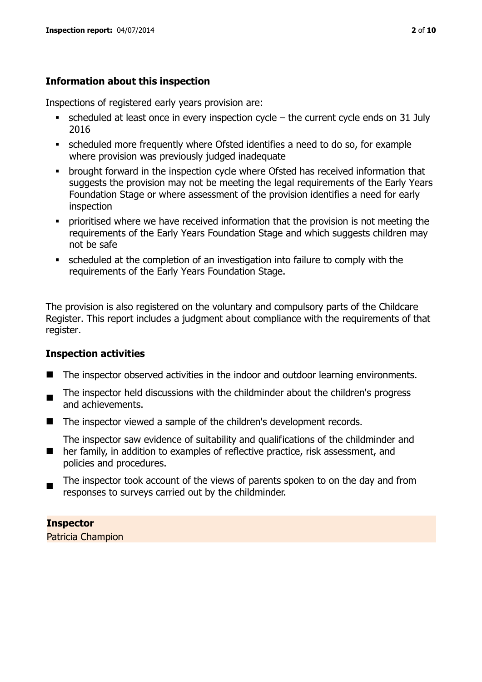# **Information about this inspection**

Inspections of registered early years provision are:

- $\bullet$  scheduled at least once in every inspection cycle the current cycle ends on 31 July 2016
- scheduled more frequently where Ofsted identifies a need to do so, for example where provision was previously judged inadequate
- **•** brought forward in the inspection cycle where Ofsted has received information that suggests the provision may not be meeting the legal requirements of the Early Years Foundation Stage or where assessment of the provision identifies a need for early inspection
- **•** prioritised where we have received information that the provision is not meeting the requirements of the Early Years Foundation Stage and which suggests children may not be safe
- scheduled at the completion of an investigation into failure to comply with the requirements of the Early Years Foundation Stage.

The provision is also registered on the voluntary and compulsory parts of the Childcare Register. This report includes a judgment about compliance with the requirements of that register.

# **Inspection activities**

- The inspector observed activities in the indoor and outdoor learning environments.
- . The inspector held discussions with the childminder about the children's progress and achievements.
- The inspector viewed a sample of the children's development records.
- $\blacksquare$ The inspector saw evidence of suitability and qualifications of the childminder and her family, in addition to examples of reflective practice, risk assessment, and policies and procedures.
- The inspector took account of the views of parents spoken to on the day and from responses to surveys carried out by the childminder.

# **Inspector**

Patricia Champion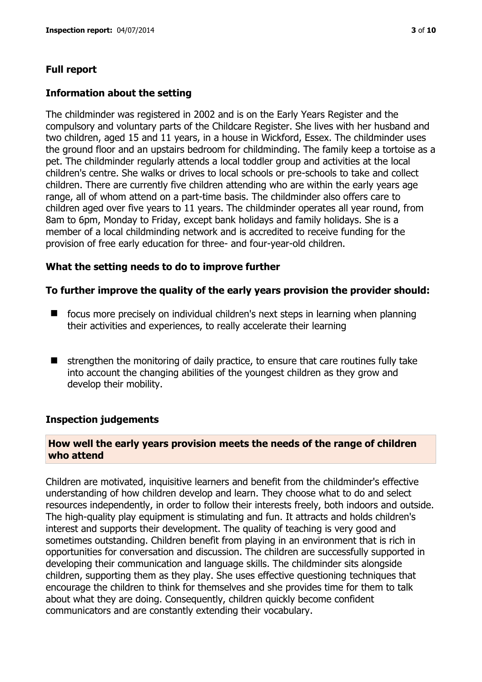# **Full report**

#### **Information about the setting**

The childminder was registered in 2002 and is on the Early Years Register and the compulsory and voluntary parts of the Childcare Register. She lives with her husband and two children, aged 15 and 11 years, in a house in Wickford, Essex. The childminder uses the ground floor and an upstairs bedroom for childminding. The family keep a tortoise as a pet. The childminder regularly attends a local toddler group and activities at the local children's centre. She walks or drives to local schools or pre-schools to take and collect children. There are currently five children attending who are within the early years age range, all of whom attend on a part-time basis. The childminder also offers care to children aged over five years to 11 years. The childminder operates all year round, from 8am to 6pm, Monday to Friday, except bank holidays and family holidays. She is a member of a local childminding network and is accredited to receive funding for the provision of free early education for three- and four-year-old children.

#### **What the setting needs to do to improve further**

#### **To further improve the quality of the early years provision the provider should:**

- focus more precisely on individual children's next steps in learning when planning their activities and experiences, to really accelerate their learning
- $\blacksquare$  strengthen the monitoring of daily practice, to ensure that care routines fully take into account the changing abilities of the youngest children as they grow and develop their mobility.

#### **Inspection judgements**

# **How well the early years provision meets the needs of the range of children who attend**

Children are motivated, inquisitive learners and benefit from the childminder's effective understanding of how children develop and learn. They choose what to do and select resources independently, in order to follow their interests freely, both indoors and outside. The high-quality play equipment is stimulating and fun. It attracts and holds children's interest and supports their development. The quality of teaching is very good and sometimes outstanding. Children benefit from playing in an environment that is rich in opportunities for conversation and discussion. The children are successfully supported in developing their communication and language skills. The childminder sits alongside children, supporting them as they play. She uses effective questioning techniques that encourage the children to think for themselves and she provides time for them to talk about what they are doing. Consequently, children quickly become confident communicators and are constantly extending their vocabulary.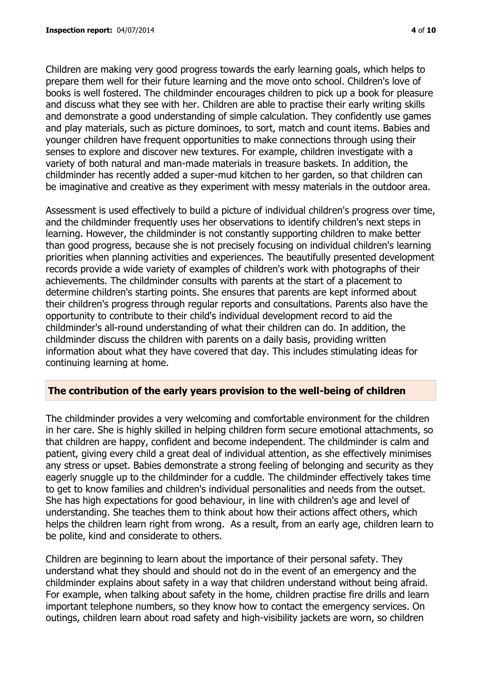Children are making very good progress towards the early learning goals, which helps to prepare them well for their future learning and the move onto school. Children's love of books is well fostered. The childminder encourages children to pick up a book for pleasure and discuss what they see with her. Children are able to practise their early writing skills and demonstrate a good understanding of simple calculation. They confidently use games and play materials, such as picture dominoes, to sort, match and count items. Babies and younger children have frequent opportunities to make connections through using their senses to explore and discover new textures. For example, children investigate with a variety of both natural and man-made materials in treasure baskets. In addition, the childminder has recently added a super-mud kitchen to her garden, so that children can be imaginative and creative as they experiment with messy materials in the outdoor area.

Assessment is used effectively to build a picture of individual children's progress over time, and the childminder frequently uses her observations to identify children's next steps in learning. However, the childminder is not constantly supporting children to make better than good progress, because she is not precisely focusing on individual children's learning priorities when planning activities and experiences. The beautifully presented development records provide a wide variety of examples of children's work with photographs of their achievements. The childminder consults with parents at the start of a placement to determine children's starting points. She ensures that parents are kept informed about their children's progress through regular reports and consultations. Parents also have the opportunity to contribute to their child's individual development record to aid the childminder's all-round understanding of what their children can do. In addition, the childminder discuss the children with parents on a daily basis, providing written information about what they have covered that day. This includes stimulating ideas for continuing learning at home.

# **The contribution of the early years provision to the well-being of children**

The childminder provides a very welcoming and comfortable environment for the children in her care. She is highly skilled in helping children form secure emotional attachments, so that children are happy, confident and become independent. The childminder is calm and patient, giving every child a great deal of individual attention, as she effectively minimises any stress or upset. Babies demonstrate a strong feeling of belonging and security as they eagerly snuggle up to the childminder for a cuddle. The childminder effectively takes time to get to know families and children's individual personalities and needs from the outset. She has high expectations for good behaviour, in line with children's age and level of understanding. She teaches them to think about how their actions affect others, which helps the children learn right from wrong. As a result, from an early age, children learn to be polite, kind and considerate to others.

Children are beginning to learn about the importance of their personal safety. They understand what they should and should not do in the event of an emergency and the childminder explains about safety in a way that children understand without being afraid. For example, when talking about safety in the home, children practise fire drills and learn important telephone numbers, so they know how to contact the emergency services. On outings, children learn about road safety and high-visibility jackets are worn, so children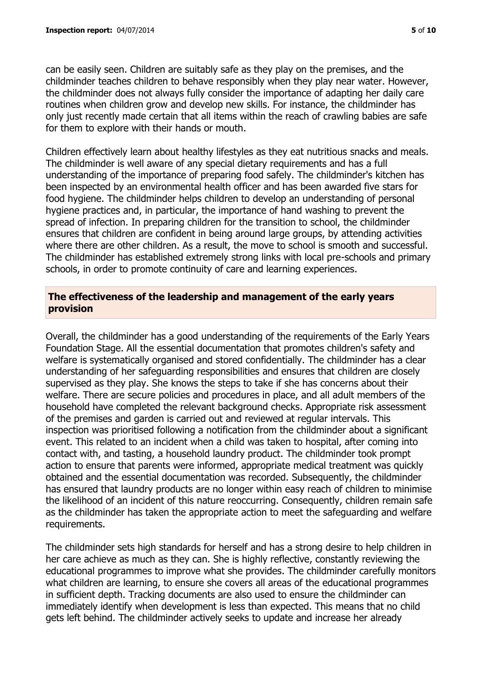can be easily seen. Children are suitably safe as they play on the premises, and the childminder teaches children to behave responsibly when they play near water. However, the childminder does not always fully consider the importance of adapting her daily care routines when children grow and develop new skills. For instance, the childminder has only just recently made certain that all items within the reach of crawling babies are safe for them to explore with their hands or mouth.

Children effectively learn about healthy lifestyles as they eat nutritious snacks and meals. The childminder is well aware of any special dietary requirements and has a full understanding of the importance of preparing food safely. The childminder's kitchen has been inspected by an environmental health officer and has been awarded five stars for food hygiene. The childminder helps children to develop an understanding of personal hygiene practices and, in particular, the importance of hand washing to prevent the spread of infection. In preparing children for the transition to school, the childminder ensures that children are confident in being around large groups, by attending activities where there are other children. As a result, the move to school is smooth and successful. The childminder has established extremely strong links with local pre-schools and primary schools, in order to promote continuity of care and learning experiences.

## **The effectiveness of the leadership and management of the early years provision**

Overall, the childminder has a good understanding of the requirements of the Early Years Foundation Stage. All the essential documentation that promotes children's safety and welfare is systematically organised and stored confidentially. The childminder has a clear understanding of her safeguarding responsibilities and ensures that children are closely supervised as they play. She knows the steps to take if she has concerns about their welfare. There are secure policies and procedures in place, and all adult members of the household have completed the relevant background checks. Appropriate risk assessment of the premises and garden is carried out and reviewed at regular intervals. This inspection was prioritised following a notification from the childminder about a significant event. This related to an incident when a child was taken to hospital, after coming into contact with, and tasting, a household laundry product. The childminder took prompt action to ensure that parents were informed, appropriate medical treatment was quickly obtained and the essential documentation was recorded. Subsequently, the childminder has ensured that laundry products are no longer within easy reach of children to minimise the likelihood of an incident of this nature reoccurring. Consequently, children remain safe as the childminder has taken the appropriate action to meet the safeguarding and welfare requirements.

The childminder sets high standards for herself and has a strong desire to help children in her care achieve as much as they can. She is highly reflective, constantly reviewing the educational programmes to improve what she provides. The childminder carefully monitors what children are learning, to ensure she covers all areas of the educational programmes in sufficient depth. Tracking documents are also used to ensure the childminder can immediately identify when development is less than expected. This means that no child gets left behind. The childminder actively seeks to update and increase her already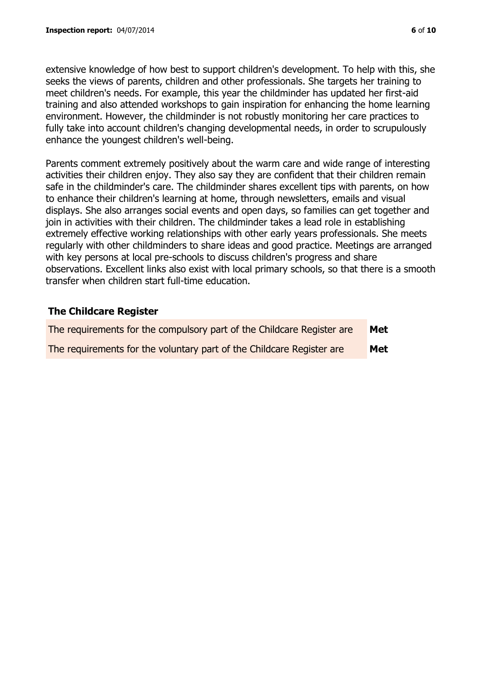extensive knowledge of how best to support children's development. To help with this, she seeks the views of parents, children and other professionals. She targets her training to meet children's needs. For example, this year the childminder has updated her first-aid training and also attended workshops to gain inspiration for enhancing the home learning environment. However, the childminder is not robustly monitoring her care practices to fully take into account children's changing developmental needs, in order to scrupulously enhance the youngest children's well-being.

Parents comment extremely positively about the warm care and wide range of interesting activities their children enjoy. They also say they are confident that their children remain safe in the childminder's care. The childminder shares excellent tips with parents, on how to enhance their children's learning at home, through newsletters, emails and visual displays. She also arranges social events and open days, so families can get together and join in activities with their children. The childminder takes a lead role in establishing extremely effective working relationships with other early years professionals. She meets regularly with other childminders to share ideas and good practice. Meetings are arranged with key persons at local pre-schools to discuss children's progress and share observations. Excellent links also exist with local primary schools, so that there is a smooth transfer when children start full-time education.

# **The Childcare Register**

| The requirements for the compulsory part of the Childcare Register are | Met |
|------------------------------------------------------------------------|-----|
| The requirements for the voluntary part of the Childcare Register are  | Met |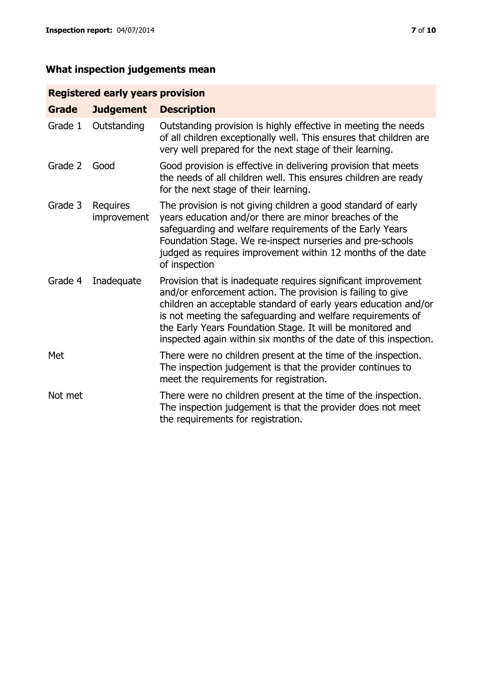# **What inspection judgements mean**

# **Registered early years provision**

| <b>Grade</b> | <b>Judgement</b>        | <b>Description</b>                                                                                                                                                                                                                                                                                                                                                                                |
|--------------|-------------------------|---------------------------------------------------------------------------------------------------------------------------------------------------------------------------------------------------------------------------------------------------------------------------------------------------------------------------------------------------------------------------------------------------|
| Grade 1      | Outstanding             | Outstanding provision is highly effective in meeting the needs<br>of all children exceptionally well. This ensures that children are<br>very well prepared for the next stage of their learning.                                                                                                                                                                                                  |
| Grade 2      | Good                    | Good provision is effective in delivering provision that meets<br>the needs of all children well. This ensures children are ready<br>for the next stage of their learning.                                                                                                                                                                                                                        |
| Grade 3      | Requires<br>improvement | The provision is not giving children a good standard of early<br>years education and/or there are minor breaches of the<br>safeguarding and welfare requirements of the Early Years<br>Foundation Stage. We re-inspect nurseries and pre-schools<br>judged as requires improvement within 12 months of the date<br>of inspection                                                                  |
| Grade 4      | Inadequate              | Provision that is inadequate requires significant improvement<br>and/or enforcement action. The provision is failing to give<br>children an acceptable standard of early years education and/or<br>is not meeting the safeguarding and welfare requirements of<br>the Early Years Foundation Stage. It will be monitored and<br>inspected again within six months of the date of this inspection. |
| Met          |                         | There were no children present at the time of the inspection.<br>The inspection judgement is that the provider continues to<br>meet the requirements for registration.                                                                                                                                                                                                                            |
| Not met      |                         | There were no children present at the time of the inspection.<br>The inspection judgement is that the provider does not meet<br>the requirements for registration.                                                                                                                                                                                                                                |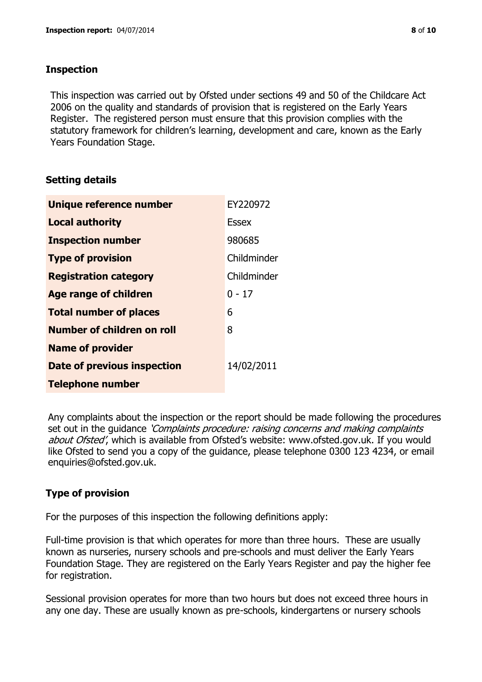## **Inspection**

This inspection was carried out by Ofsted under sections 49 and 50 of the Childcare Act 2006 on the quality and standards of provision that is registered on the Early Years Register. The registered person must ensure that this provision complies with the statutory framework for children's learning, development and care, known as the Early Years Foundation Stage.

# **Setting details**

| Unique reference number       | EY220972     |
|-------------------------------|--------------|
| <b>Local authority</b>        | <b>Essex</b> |
| <b>Inspection number</b>      | 980685       |
| <b>Type of provision</b>      | Childminder  |
| <b>Registration category</b>  | Childminder  |
| <b>Age range of children</b>  | $0 - 17$     |
| <b>Total number of places</b> | 6            |
| Number of children on roll    | 8            |
| <b>Name of provider</b>       |              |
| Date of previous inspection   | 14/02/2011   |
| <b>Telephone number</b>       |              |

Any complaints about the inspection or the report should be made following the procedures set out in the guidance *'Complaints procedure: raising concerns and making complaints* about Ofsted', which is available from Ofsted's website: www.ofsted.gov.uk. If you would like Ofsted to send you a copy of the guidance, please telephone 0300 123 4234, or email enquiries@ofsted.gov.uk.

# **Type of provision**

For the purposes of this inspection the following definitions apply:

Full-time provision is that which operates for more than three hours. These are usually known as nurseries, nursery schools and pre-schools and must deliver the Early Years Foundation Stage. They are registered on the Early Years Register and pay the higher fee for registration.

Sessional provision operates for more than two hours but does not exceed three hours in any one day. These are usually known as pre-schools, kindergartens or nursery schools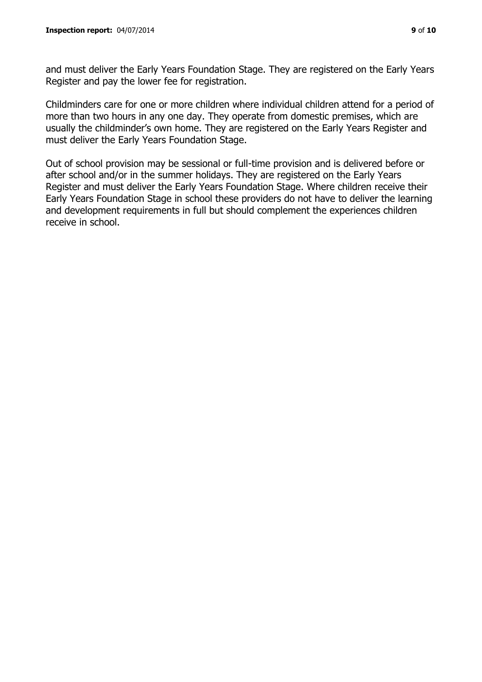and must deliver the Early Years Foundation Stage. They are registered on the Early Years Register and pay the lower fee for registration.

Childminders care for one or more children where individual children attend for a period of more than two hours in any one day. They operate from domestic premises, which are usually the childminder's own home. They are registered on the Early Years Register and must deliver the Early Years Foundation Stage.

Out of school provision may be sessional or full-time provision and is delivered before or after school and/or in the summer holidays. They are registered on the Early Years Register and must deliver the Early Years Foundation Stage. Where children receive their Early Years Foundation Stage in school these providers do not have to deliver the learning and development requirements in full but should complement the experiences children receive in school.